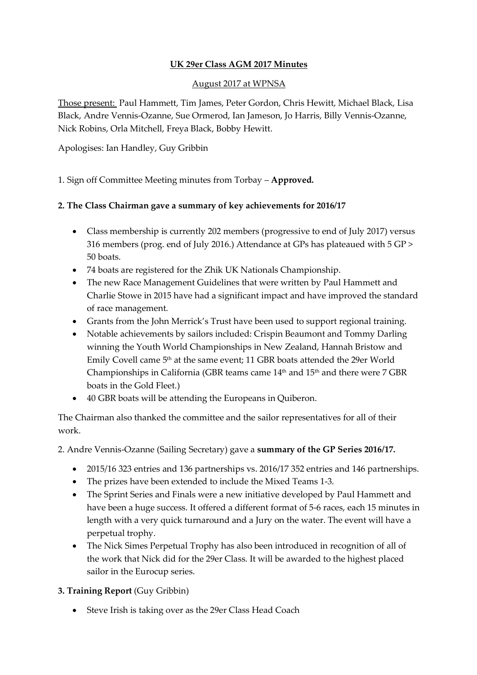# **UK 29er Class AGM 2017 Minutes**

### August 2017 at WPNSA

Those present: Paul Hammett, Tim James, Peter Gordon, Chris Hewitt, Michael Black, Lisa Black, Andre Vennis-Ozanne, Sue Ormerod, Ian Jameson, Jo Harris, Billy Vennis-Ozanne, Nick Robins, Orla Mitchell, Freya Black, Bobby Hewitt.

Apologises: Ian Handley, Guy Gribbin

1. Sign off Committee Meeting minutes from Torbay – **Approved.**

## **2. The Class Chairman gave a summary of key achievements for 2016/17**

- Class membership is currently 202 members (progressive to end of July 2017) versus 316 members (prog. end of July 2016.) Attendance at GPs has plateaued with 5 GP > 50 boats.
- 74 boats are registered for the Zhik UK Nationals Championship.
- The new Race Management Guidelines that were written by Paul Hammett and Charlie Stowe in 2015 have had a significant impact and have improved the standard of race management.
- Grants from the John Merrick's Trust have been used to support regional training.
- Notable achievements by sailors included: Crispin Beaumont and Tommy Darling winning the Youth World Championships in New Zealand, Hannah Bristow and Emily Covell came 5<sup>th</sup> at the same event; 11 GBR boats attended the 29er World Championships in California (GBR teams came  $14<sup>th</sup>$  and  $15<sup>th</sup>$  and there were 7 GBR boats in the Gold Fleet.)
- 40 GBR boats will be attending the Europeans in Quiberon.

The Chairman also thanked the committee and the sailor representatives for all of their work.

2. Andre Vennis-Ozanne (Sailing Secretary) gave a **summary of the GP Series 2016/17.**

- 2015/16 323 entries and 136 partnerships vs. 2016/17 352 entries and 146 partnerships.
- The prizes have been extended to include the Mixed Teams 1-3.
- The Sprint Series and Finals were a new initiative developed by Paul Hammett and have been a huge success. It offered a different format of 5-6 races, each 15 minutes in length with a very quick turnaround and a Jury on the water. The event will have a perpetual trophy.
- The Nick Simes Perpetual Trophy has also been introduced in recognition of all of the work that Nick did for the 29er Class. It will be awarded to the highest placed sailor in the Eurocup series.

### **3. Training Report** (Guy Gribbin)

Steve Irish is taking over as the 29er Class Head Coach